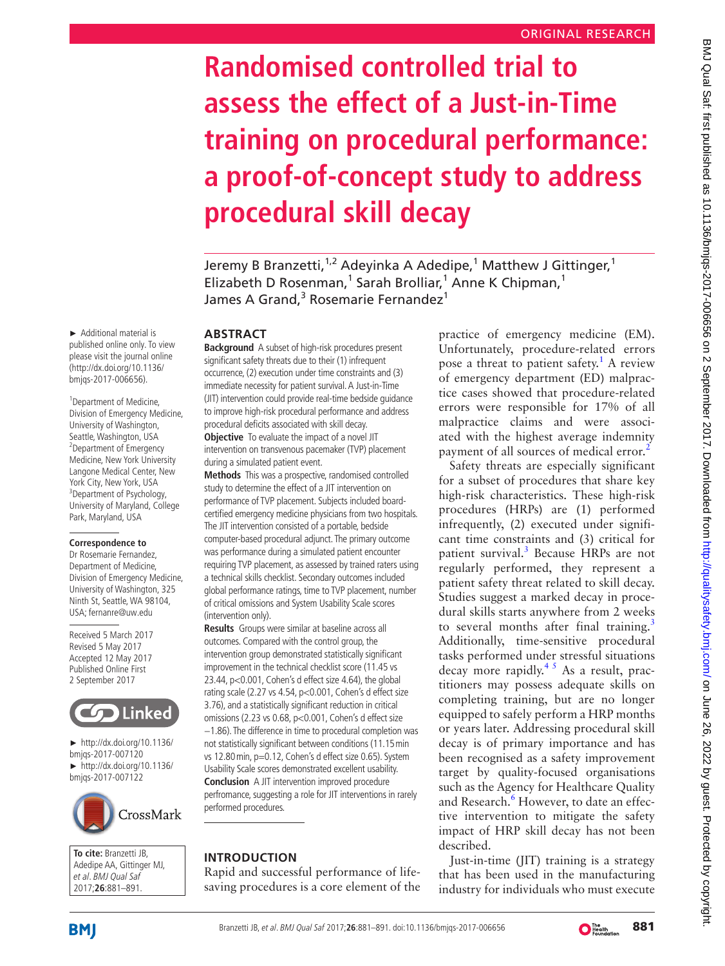# **Randomised controlled trial to assess the effect of a Just-in-Time training on procedural performance: a proof-of-concept study to address procedural skill decay**

Jeremy B Branzetti,<sup>1,2</sup> Adeyinka A Adedipe,<sup>1</sup> Matthew J Gittinger,<sup>1</sup> Elizabeth D Rosenman,<sup>1</sup> Sarah Brolliar,<sup>1</sup> Anne K Chipman,<sup>1</sup> James A Grand,<sup>3</sup> Rosemarie Fernandez<sup>1</sup>

## **ABSTRACT**

**Background** A subset of high-risk procedures present significant safety threats due to their (1) infrequent occurrence, (2) execution under time constraints and (3) immediate necessity for patient survival. A Just-in-Time (JIT) intervention could provide real-time bedside guidance to improve high-risk procedural performance and address procedural deficits associated with skill decay. **Objective** To evaluate the impact of a novel JIT intervention on transvenous pacemaker (TVP) placement during a simulated patient event.

**Methods** This was a prospective, randomised controlled study to determine the effect of a JIT intervention on performance of TVP placement. Subjects included boardcertified emergency medicine physicians from two hospitals. The JIT intervention consisted of a portable, bedside computer-based procedural adjunct. The primary outcome was performance during a simulated patient encounter requiring TVP placement, as assessed by trained raters using a technical skills checklist. Secondary outcomes included global performance ratings, time to TVP placement, number of critical omissions and System Usability Scale scores (intervention only).

**Results** Groups were similar at baseline across all outcomes. Compared with the control group, the intervention group demonstrated statistically significant improvement in the technical checklist score (11.45 vs 23.44, p<0.001, Cohen's d effect size 4.64), the global rating scale (2.27 vs 4.54, p<0.001, Cohen's d effect size 3.76), and a statistically significant reduction in critical omissions (2.23 vs 0.68, p<0.001, Cohen's d effect size −1.86). The difference in time to procedural completion was not statistically significant between conditions (11.15min vs 12.80min, p=0.12, Cohen's d effect size 0.65). System Usability Scale scores demonstrated excellent usability. **Conclusion** A JIT intervention improved procedure perfromance, suggesting a role for JIT interventions in rarely performed procedures.

# **Introduction**

Rapid and successful performance of lifesaving procedures is a core element of the

practice of emergency medicine (EM). Unfortunately, procedure-related errors pose a threat to patient safety.<sup>1</sup> A review of emergency department (ED) malpractice cases showed that procedure-related errors were responsible for 17% of all malpractice claims and were associated with the highest average indemnity payment of all sources of medical error.<sup>[2](#page-9-1)</sup>

BMJ Qual Saf: first published as 10.1136/bmjqs-2017-006656 on 2 September 2017. Downloaded from http://qualitysafety.bmj.com/ on June 26, 2022 by guest. Protected by copyright BMJ Qual Sat: first published as 10.1136/bmjqs-2017-006656 on 2 September 2017. Downloaded from http://qualitysatety.bmj.com/ on June 26, 2022 by guest. Protected by copyright

Safety threats are especially significant for a subset of procedures that share key high-risk characteristics. These high-risk procedures (HRPs) are (1) performed infrequently, (2) executed under significant time constraints and (3) critical for patient survival.<sup>[3](#page-9-2)</sup> Because HRPs are not regularly performed, they represent a patient safety threat related to skill decay. Studies suggest a marked decay in procedural skills starts anywhere from 2 weeks to several months after final training.<sup>[3](#page-9-2)</sup> Additionally, time-sensitive procedural tasks performed under stressful situations decay more rapidly.<sup>45</sup> As a result, practitioners may possess adequate skills on completing training, but are no longer equipped to safely perform a HRP months or years later. Addressing procedural skill decay is of primary importance and has been recognised as a safety improvement target by quality-focused organisations such as the Agency for Healthcare Quality and Research.<sup>[6](#page-9-4)</sup> However, to date an effective intervention to mitigate the safety impact of HRP skill decay has not been described.

Just-in-time (JIT) training is a strategy that has been used in the manufacturing industry for individuals who must execute

► Additional material is published online only. To view please visit the journal online (http://dx.doi.org/10.1136/ bmjqs-2017-006656).

1 Department of Medicine, Division of Emergency Medicine, University of Washington, Seattle, Washington, USA <sup>2</sup> Department of Emergency Medicine, New York University Langone Medical Center, New York City, New York, USA <sup>3</sup>Department of Psychology, University of Maryland, College Park, Maryland, USA

#### **Correspondence to**

Dr Rosemarie Fernandez, Department of Medicine, Division of Emergency Medicine, University of Washington, 325 Ninth St, Seattle, WA 98104, USA; fernanre@uw.edu

Received 5 March 2017 Revised 5 May 2017 Accepted 12 May 2017 Published Online First 2 September 2017



► [http://dx.doi.org/10.1136/](http://dx.doi.org/10.1136/bmjqs-2017-007120) [bmjqs-2017-007120](http://dx.doi.org/10.1136/bmjqs-2017-007120) ► [http://dx.doi.org/10.1136/](http://dx.doi.org/10.1136/bmjqs-2017-007122) [bmjqs-2017-007122](http://dx.doi.org/10.1136/bmjqs-2017-007122)



**To cite:** Branzetti JB, Adedipe AA, Gittinger MJ, et al. BMJ Qual Saf 2017;**26**:881–891.

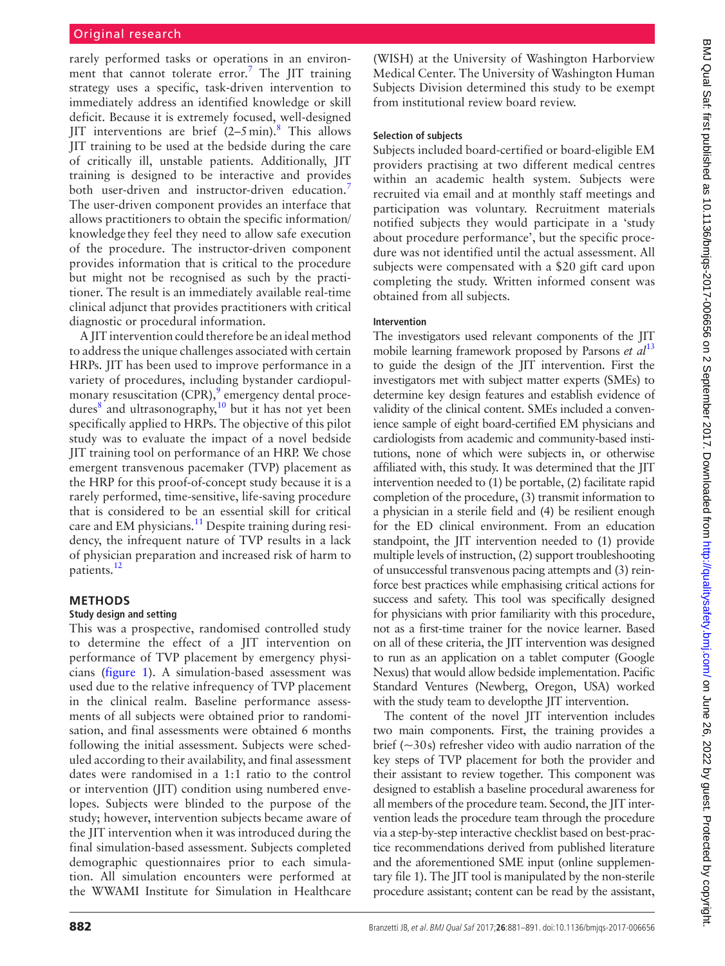# Original research

rarely performed tasks or operations in an environ-ment that cannot tolerate error.<sup>[7](#page-9-5)</sup> The JIT training strategy uses a specific, task-driven intervention to immediately address an identified knowledge or skill deficit. Because it is extremely focused, well-designed JIT interventions are brief  $(2-5 \text{ min})$ .<sup>[8](#page-9-6)</sup> This allows JIT training to be used at the bedside during the care of critically ill, unstable patients. Additionally, JIT training is designed to be interactive and provides both user-driven and instructor-driven education.<sup>[7](#page-9-5)</sup> The user-driven component provides an interface that allows practitioners to obtain the specific information/ knowledge they feel they need to allow safe execution of the procedure. The instructor-driven component provides information that is critical to the procedure but might not be recognised as such by the practitioner. The result is an immediately available real-time clinical adjunct that provides practitioners with critical diagnostic or procedural information.

A JIT intervention could therefore be an ideal method to address the unique challenges associated with certain HRPs. JIT has been used to improve performance in a variety of procedures, including bystander cardiopul-monary resuscitation (CPR),<sup>[9](#page-9-7)</sup> emergency dental procedures $\frac{8}{3}$  $\frac{8}{3}$  $\frac{8}{3}$  and ultrasonography,<sup>10</sup> but it has not yet been specifically applied to HRPs. The objective of this pilot study was to evaluate the impact of a novel bedside JIT training tool on performance of an HRP. We chose emergent transvenous pacemaker (TVP) placement as the HRP for this proof-of-concept study because it is a rarely performed, time-sensitive, life-saving procedure that is considered to be an essential skill for critical care and EM physicians.<sup>[11](#page-9-9)</sup> Despite training during residency, the infrequent nature of TVP results in a lack of physician preparation and increased risk of harm to patients[.12](#page-9-10)

## **Methods**

#### **Study design and setting**

This was a prospective, randomised controlled study to determine the effect of a JIT intervention on performance of TVP placement by emergency physicians [\(figure](#page-2-0) 1). A simulation-based assessment was used due to the relative infrequency of TVP placement in the clinical realm. Baseline performance assessments of all subjects were obtained prior to randomisation, and final assessments were obtained 6 months following the initial assessment. Subjects were scheduled according to their availability, and final assessment dates were randomised in a 1:1 ratio to the control or intervention (JIT) condition using numbered envelopes. Subjects were blinded to the purpose of the study; however, intervention subjects became aware of the JIT intervention when it was introduced during the final simulation-based assessment. Subjects completed demographic questionnaires prior to each simulation. All simulation encounters were performed at the WWAMI Institute for Simulation in Healthcare

(WISH) at the University of Washington Harborview Medical Center. The University of Washington Human Subjects Division determined this study to be exempt from institutional review board review.

# **Selection of subjects**

Subjects included board-certified or board-eligible EM providers practising at two different medical centres within an academic health system. Subjects were recruited via email and at monthly staff meetings and participation was voluntary. Recruitment materials notified subjects they would participate in a 'study about procedure performance', but the specific procedure was not identified until the actual assessment. All subjects were compensated with a \$20 gift card upon completing the study. Written informed consent was obtained from all subjects.

## **Intervention**

The investigators used relevant components of the JIT mobile learning framework proposed by Parsons *et al*<sup>[13](#page-9-11)</sup> to guide the design of the JIT intervention. First the investigators met with subject matter experts (SMEs) to determine key design features and establish evidence of validity of the clinical content. SMEs included a convenience sample of eight board-certified EM physicians and cardiologists from academic and community-based institutions, none of which were subjects in, or otherwise affiliated with, this study. It was determined that the JIT intervention needed to (1) be portable, (2) facilitate rapid completion of the procedure, (3) transmit information to a physician in a sterile field and (4) be resilient enough for the ED clinical environment. From an education standpoint, the JIT intervention needed to (1) provide multiple levels of instruction, (2) support troubleshooting of unsuccessful transvenous pacing attempts and (3) reinforce best practices while emphasising critical actions for success and safety. This tool was specifically designed for physicians with prior familiarity with this procedure, not as a first-time trainer for the novice learner. Based on all of these criteria, the JIT intervention was designed to run as an application on a tablet computer (Google Nexus) that would allow bedside implementation. Pacific Standard Ventures (Newberg, Oregon, USA) worked with the study team to developthe IIT intervention.

The content of the novel JIT intervention includes two main components. First, the training provides a brief  $(-30s)$  refresher video with audio narration of the key steps of TVP placement for both the provider and their assistant to review together. This component was designed to establish a baseline procedural awareness for all members of the procedure team. Second, the JIT intervention leads the procedure team through the procedure via a step-by-step interactive checklist based on best-practice recommendations derived from published literature and the aforementioned SME input (online [supplemen](https://dx.doi.org/10.1136/bmjqs-2017-006656)[tary file 1](https://dx.doi.org/10.1136/bmjqs-2017-006656)). The JIT tool is manipulated by the non-sterile procedure assistant; content can be read by the assistant,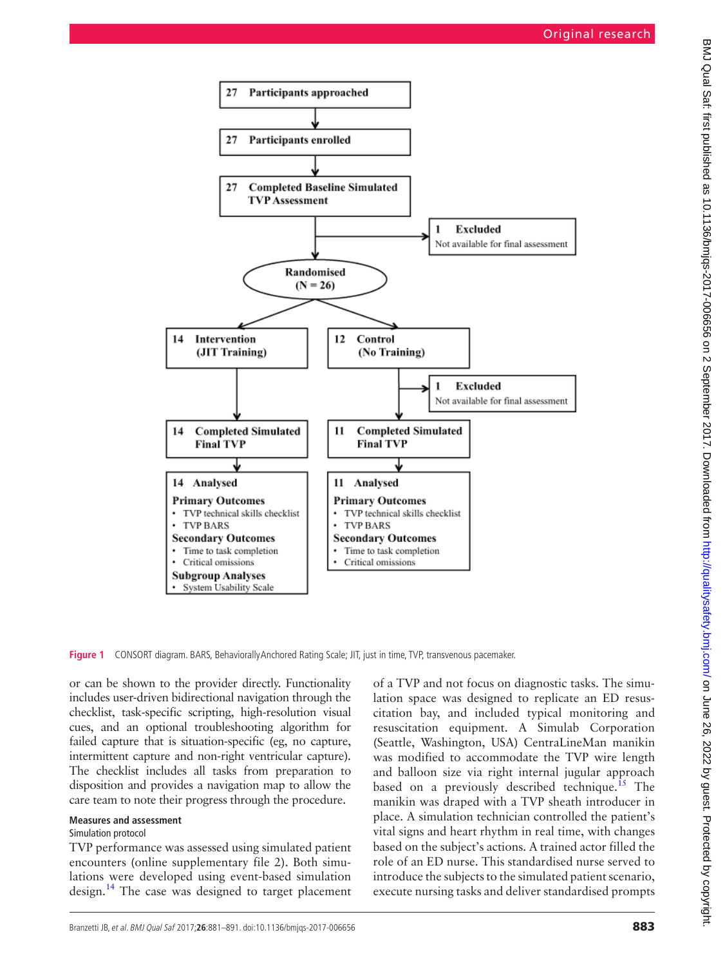

<span id="page-2-0"></span>**Figure 1** CONSORT diagram. BARS, BehaviorallyAnchored Rating Scale; JIT, just in time, TVP, transvenous pacemaker.

or can be shown to the provider directly. Functionality includes user-driven bidirectional navigation through the checklist, task-specific scripting, high-resolution visual cues, and an optional troubleshooting algorithm for failed capture that is situation-specific (eg, no capture, intermittent capture and non-right ventricular capture). The checklist includes all tasks from preparation to disposition and provides a navigation map to allow the care team to note their progress through the procedure.

## **Measures and assessment**

## Simulation protocol

TVP performance was assessed using simulated patient encounters (online [supplementary file 2\)](https://dx.doi.org/10.1136/bmjqs-2017-006656). Both simulations were developed using event-based simulation design.<sup>[14](#page-9-12)</sup> The case was designed to target placement of a TVP and not focus on diagnostic tasks. The simulation space was designed to replicate an ED resuscitation bay, and included typical monitoring and resuscitation equipment. A Simulab Corporation (Seattle, Washington, USA) CentraLineMan manikin was modified to accommodate the TVP wire length and balloon size via right internal jugular approach based on a previously described technique.<sup>15</sup> The manikin was draped with a TVP sheath introducer in place. A simulation technician controlled the patient's vital signs and heart rhythm in real time, with changes based on the subject's actions. A trained actor filled the role of an ED nurse. This standardised nurse served to introduce the subjects to the simulated patient scenario, execute nursing tasks and deliver standardised prompts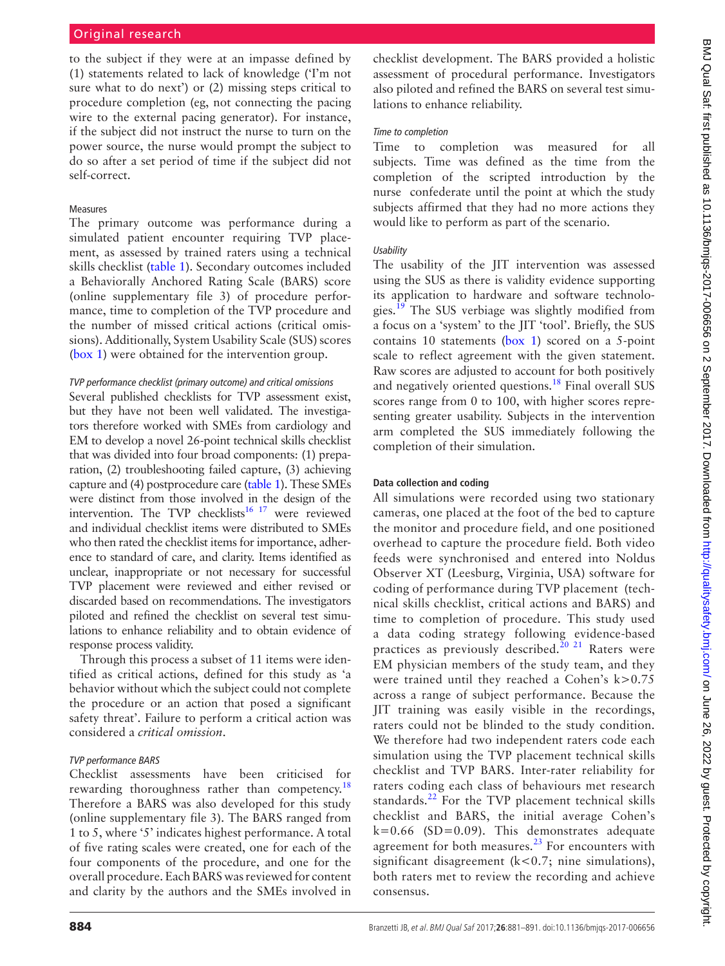to the subject if they were at an impasse defined by (1) statements related to lack of knowledge ('I'm not sure what to do next') or (2) missing steps critical to procedure completion (eg, not connecting the pacing wire to the external pacing generator). For instance, if the subject did not instruct the nurse to turn on the power source, the nurse would prompt the subject to do so after a set period of time if the subject did not self-correct.

## Measures

The primary outcome was performance during a simulated patient encounter requiring TVP placement, as assessed by trained raters using a technical skills checklist ([table](#page-4-0) 1). Secondary outcomes included a Behaviorally Anchored Rating Scale (BARS) score (online [supplementary file 3](https://dx.doi.org/10.1136/bmjqs-2017-006656)) of procedure performance, time to completion of the TVP procedure and the number of missed critical actions (critical omissions). Additionally, System Usability Scale (SUS) scores [\(box](#page-5-0) 1) were obtained for the intervention group.

# *TVP performance checklist (primary outcome) and critical omissions*

Several published checklists for TVP assessment exist, but they have not been well validated. The investigators therefore worked with SMEs from cardiology and EM to develop a novel 26-point technical skills checklist that was divided into four broad components: (1) preparation, (2) troubleshooting failed capture, (3) achieving capture and (4) postprocedure care ([table](#page-4-0) 1). These SMEs were distinct from those involved in the design of the intervention. The TVP checklists<sup>16 17</sup> were reviewed and individual checklist items were distributed to SMEs who then rated the checklist items for importance, adherence to standard of care, and clarity. Items identified as unclear, inappropriate or not necessary for successful TVP placement were reviewed and either revised or discarded based on recommendations. The investigators piloted and refined the checklist on several test simulations to enhance reliability and to obtain evidence of response process validity.

Through this process a subset of 11 items were identified as critical actions, defined for this study as 'a behavior without which the subject could not complete the procedure or an action that posed a significant safety threat'. Failure to perform a critical action was considered a *critical omission*.

# *TVP performance BARS*

Checklist assessments have been criticised for rewarding thoroughness rather than competency.<sup>[18](#page-9-15)</sup> Therefore a BARS was also developed for this study (online [supplementary file 3](https://dx.doi.org/10.1136/bmjqs-2017-006656)). The BARS ranged from 1 to 5, where '5' indicates highest performance. A total of five rating scales were created, one for each of the four components of the procedure, and one for the overall procedure. Each BARS was reviewed for content and clarity by the authors and the SMEs involved in

checklist development. The BARS provided a holistic assessment of procedural performance. Investigators also piloted and refined the BARS on several test simulations to enhance reliability.

## *Time to completion*

Time to completion was measured for all subjects. Time was defined as the time from the completion of the scripted introduction by the nurse confederate until the point at which the study subjects affirmed that they had no more actions they would like to perform as part of the scenario.

# *Usability*

The usability of the JIT intervention was assessed using the SUS as there is validity evidence supporting its application to hardware and software technologies.<sup>19</sup> The SUS verbiage was slightly modified from a focus on a 'system' to the JIT 'tool'. Briefly, the SUS contains 10 statements [\(box](#page-5-0) 1) scored on a 5-point scale to reflect agreement with the given statement. Raw scores are adjusted to account for both positively and negatively oriented questions.<sup>[18](#page-9-15)</sup> Final overall SUS scores range from 0 to 100, with higher scores representing greater usability. Subjects in the intervention arm completed the SUS immediately following the completion of their simulation.

# **Data collection and coding**

All simulations were recorded using two stationary cameras, one placed at the foot of the bed to capture the monitor and procedure field, and one positioned overhead to capture the procedure field. Both video feeds were synchronised and entered into Noldus Observer XT (Leesburg, Virginia, USA) software for coding of performance during TVP placement (technical skills checklist, critical actions and BARS) and time to completion of procedure. This study used a data coding strategy following evidence-based practices as previously described.<sup>20</sup> <sup>21</sup> Raters were EM physician members of the study team, and they were trained until they reached a Cohen's  $k > 0.75$ across a range of subject performance. Because the JIT training was easily visible in the recordings, raters could not be blinded to the study condition. We therefore had two independent raters code each simulation using the TVP placement technical skills checklist and TVP BARS. Inter-rater reliability for raters coding each class of behaviours met research standards. $^{22}$  $^{22}$  $^{22}$  For the TVP placement technical skills checklist and BARS, the initial average Cohen's  $k=0.66$  (SD=0.09). This demonstrates adequate agreement for both measures. $^{23}$  For encounters with significant disagreement ( $k$ <0.7; nine simulations), both raters met to review the recording and achieve consensus.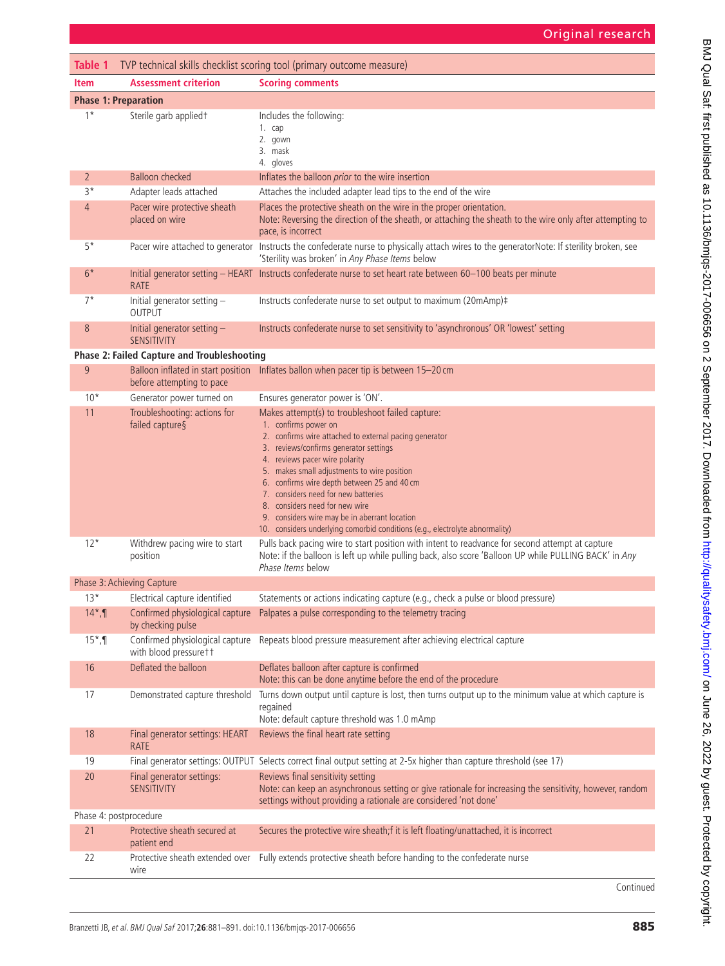# Original research

<span id="page-4-0"></span>

| Table 1<br>TVP technical skills checklist scoring tool (primary outcome measure) |                                                      |                                                                                                                                                                                                                                                                                                                                                                                                                                                                                                                        |  |  |  |  |  |  |
|----------------------------------------------------------------------------------|------------------------------------------------------|------------------------------------------------------------------------------------------------------------------------------------------------------------------------------------------------------------------------------------------------------------------------------------------------------------------------------------------------------------------------------------------------------------------------------------------------------------------------------------------------------------------------|--|--|--|--|--|--|
| <b>Item</b>                                                                      | <b>Assessment criterion</b>                          | <b>Scoring comments</b>                                                                                                                                                                                                                                                                                                                                                                                                                                                                                                |  |  |  |  |  |  |
| <b>Phase 1: Preparation</b>                                                      |                                                      |                                                                                                                                                                                                                                                                                                                                                                                                                                                                                                                        |  |  |  |  |  |  |
| $1*$                                                                             | Sterile garb applied +                               | Includes the following:<br>1. cap<br>2. gown<br>3. mask<br>4. gloves                                                                                                                                                                                                                                                                                                                                                                                                                                                   |  |  |  |  |  |  |
| $\overline{2}$                                                                   | <b>Balloon checked</b>                               | Inflates the balloon <i>prior</i> to the wire insertion                                                                                                                                                                                                                                                                                                                                                                                                                                                                |  |  |  |  |  |  |
| $3*$                                                                             | Adapter leads attached                               | Attaches the included adapter lead tips to the end of the wire                                                                                                                                                                                                                                                                                                                                                                                                                                                         |  |  |  |  |  |  |
| 4                                                                                | Pacer wire protective sheath<br>placed on wire       | Places the protective sheath on the wire in the proper orientation.<br>Note: Reversing the direction of the sheath, or attaching the sheath to the wire only after attempting to<br>pace, is incorrect                                                                                                                                                                                                                                                                                                                 |  |  |  |  |  |  |
| $5*$                                                                             |                                                      | Pacer wire attached to generator Instructs the confederate nurse to physically attach wires to the generatorNote: If sterility broken, see<br>'Sterility was broken' in Any Phase Items below                                                                                                                                                                                                                                                                                                                          |  |  |  |  |  |  |
| $6*$                                                                             | <b>RATE</b>                                          | Initial generator setting - HEART Instructs confederate nurse to set heart rate between 60-100 beats per minute                                                                                                                                                                                                                                                                                                                                                                                                        |  |  |  |  |  |  |
| $7^*$                                                                            | Initial generator setting -<br><b>OUTPUT</b>         | Instructs confederate nurse to set output to maximum (20mAmp)#                                                                                                                                                                                                                                                                                                                                                                                                                                                         |  |  |  |  |  |  |
| 8                                                                                | Initial generator setting -<br><b>SENSITIVITY</b>    | Instructs confederate nurse to set sensitivity to 'asynchronous' OR 'lowest' setting                                                                                                                                                                                                                                                                                                                                                                                                                                   |  |  |  |  |  |  |
|                                                                                  | <b>Phase 2: Failed Capture and Troubleshooting</b>   |                                                                                                                                                                                                                                                                                                                                                                                                                                                                                                                        |  |  |  |  |  |  |
| 9                                                                                | before attempting to pace                            | Balloon inflated in start position Inflates ballon when pacer tip is between 15-20 cm                                                                                                                                                                                                                                                                                                                                                                                                                                  |  |  |  |  |  |  |
| $10*$                                                                            | Generator power turned on                            | Ensures generator power is 'ON'.                                                                                                                                                                                                                                                                                                                                                                                                                                                                                       |  |  |  |  |  |  |
| 11                                                                               | Troubleshooting: actions for<br>failed capture§      | Makes attempt(s) to troubleshoot failed capture:<br>1. confirms power on<br>2. confirms wire attached to external pacing generator<br>3. reviews/confirms generator settings<br>4. reviews pacer wire polarity<br>5. makes small adjustments to wire position<br>6. confirms wire depth between 25 and 40 cm<br>7. considers need for new batteries<br>8. considers need for new wire<br>9. considers wire may be in aberrant location<br>10. considers underlying comorbid conditions (e.g., electrolyte abnormality) |  |  |  |  |  |  |
| $12*$                                                                            | Withdrew pacing wire to start<br>position            | Pulls back pacing wire to start position with intent to readvance for second attempt at capture<br>Note: if the balloon is left up while pulling back, also score 'Balloon UP while PULLING BACK' in Any<br>Phase Items below                                                                                                                                                                                                                                                                                          |  |  |  |  |  |  |
| Phase 3: Achieving Capture                                                       |                                                      |                                                                                                                                                                                                                                                                                                                                                                                                                                                                                                                        |  |  |  |  |  |  |
| $13*$                                                                            | Electrical capture identified                        | Statements or actions indicating capture (e.g., check a pulse or blood pressure)                                                                                                                                                                                                                                                                                                                                                                                                                                       |  |  |  |  |  |  |
| $14^*$ , 1                                                                       | Confirmed physiological capture<br>by checking pulse | Palpates a pulse corresponding to the telemetry tracing                                                                                                                                                                                                                                                                                                                                                                                                                                                                |  |  |  |  |  |  |
| $15^*$ , 1                                                                       | with blood pressurett                                | Confirmed physiological capture Repeats blood pressure measurement after achieving electrical capture                                                                                                                                                                                                                                                                                                                                                                                                                  |  |  |  |  |  |  |
| 16                                                                               | Deflated the balloon                                 | Deflates balloon after capture is confirmed<br>Note: this can be done anytime before the end of the procedure                                                                                                                                                                                                                                                                                                                                                                                                          |  |  |  |  |  |  |
| 17                                                                               | Demonstrated capture threshold                       | Turns down output until capture is lost, then turns output up to the minimum value at which capture is<br>regained<br>Note: default capture threshold was 1.0 mAmp                                                                                                                                                                                                                                                                                                                                                     |  |  |  |  |  |  |
| 18                                                                               | Final generator settings: HEART<br>RATE              | Reviews the final heart rate setting                                                                                                                                                                                                                                                                                                                                                                                                                                                                                   |  |  |  |  |  |  |
| 19                                                                               |                                                      | Final generator settings: OUTPUT Selects correct final output setting at 2-5x higher than capture threshold (see 17)                                                                                                                                                                                                                                                                                                                                                                                                   |  |  |  |  |  |  |
| 20                                                                               | Final generator settings:<br><b>SENSITIVITY</b>      | Reviews final sensitivity setting<br>Note: can keep an asynchronous setting or give rationale for increasing the sensitivity, however, random<br>settings without providing a rationale are considered 'not done'                                                                                                                                                                                                                                                                                                      |  |  |  |  |  |  |
| Phase 4: postprocedure                                                           |                                                      |                                                                                                                                                                                                                                                                                                                                                                                                                                                                                                                        |  |  |  |  |  |  |
| 21                                                                               | Protective sheath secured at<br>patient end          | Secures the protective wire sheath;f it is left floating/unattached, it is incorrect                                                                                                                                                                                                                                                                                                                                                                                                                                   |  |  |  |  |  |  |
| 22                                                                               | Protective sheath extended over<br>wire              | Fully extends protective sheath before handing to the confederate nurse                                                                                                                                                                                                                                                                                                                                                                                                                                                |  |  |  |  |  |  |

Continued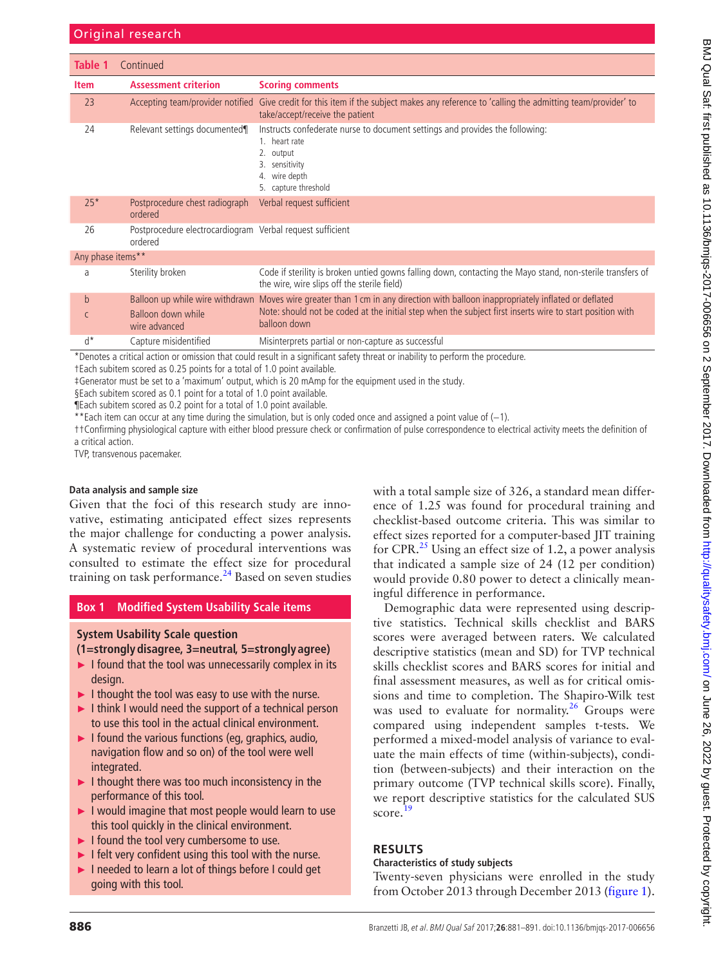| Table 1                                                                                                                        | Continued                                                            |                                                                                                                                                                              |  |  |  |  |
|--------------------------------------------------------------------------------------------------------------------------------|----------------------------------------------------------------------|------------------------------------------------------------------------------------------------------------------------------------------------------------------------------|--|--|--|--|
| <b>Item</b>                                                                                                                    | <b>Assessment criterion</b>                                          | <b>Scoring comments</b>                                                                                                                                                      |  |  |  |  |
| 23                                                                                                                             |                                                                      | Accepting team/provider notified Give credit for this item if the subject makes any reference to 'calling the admitting team/provider' to<br>take/accept/receive the patient |  |  |  |  |
| 24                                                                                                                             | Relevant settings documented¶                                        | Instructs confederate nurse to document settings and provides the following:<br>1. heart rate<br>output<br>sensitivity<br>4. wire depth<br>5. capture threshold              |  |  |  |  |
| $25*$                                                                                                                          | Postprocedure chest radiograph<br>ordered                            | Verbal request sufficient                                                                                                                                                    |  |  |  |  |
| 26                                                                                                                             | Postprocedure electrocardiogram Verbal request sufficient<br>ordered |                                                                                                                                                                              |  |  |  |  |
| Any phase items**                                                                                                              |                                                                      |                                                                                                                                                                              |  |  |  |  |
| a                                                                                                                              | Sterility broken                                                     | Code if sterility is broken untied gowns falling down, contacting the Mayo stand, non-sterile transfers of<br>the wire, wire slips off the sterile field)                    |  |  |  |  |
| $\mathbf b$                                                                                                                    |                                                                      | Balloon up while wire withdrawn Moves wire greater than 1 cm in any direction with balloon inappropriately inflated or deflated                                              |  |  |  |  |
| $\mathsf{C}$                                                                                                                   | Balloon down while<br>wire advanced                                  | Note: should not be coded at the initial step when the subject first inserts wire to start position with<br>balloon down                                                     |  |  |  |  |
| $d^*$                                                                                                                          | Capture misidentified                                                | Misinterprets partial or non-capture as successful                                                                                                                           |  |  |  |  |
| *Denotes a critical action or omission that could result in a significant safety threat or inability to perform the procedure. |                                                                      |                                                                                                                                                                              |  |  |  |  |

†Each subitem scored as 0.25 points for a total of 1.0 point available.

‡Generator must be set to a 'maximum' output, which is 20 mAmp for the equipment used in the study.

§Each subitem scored as 0.1 point for a total of 1.0 point available.

¶Each subitem scored as 0.2 point for a total of 1.0 point available.

\*\*Each item can occur at any time during the simulation, but is only coded once and assigned a point value of (−1).

††Confirming physiological capture with either blood pressure check or confirmation of pulse correspondence to electrical activity meets the definition of a critical action.

TVP, transvenous pacemaker.

#### **Data analysis and sample size**

Given that the foci of this research study are innovative, estimating anticipated effect sizes represents the major challenge for conducting a power analysis. A systematic review of procedural interventions was consulted to estimate the effect size for procedural training on task performance.<sup>24</sup> Based on seven studies

## **Box 1 Modified System Usability Scale items**

## <span id="page-5-0"></span>**System Usability Scale question**

# **(1=stronglydisagree, 3=neutral, 5=stronglyagree)**

- ► I found that the tool was unnecessarily complex in its design.
- ► I thought the tool was easy to use with the nurse.
- ► I think I would need the support of a technical person to use this tool in the actual clinical environment.
- $\blacktriangleright$  I found the various functions (eq. graphics, audio, navigation flow and so on) of the tool were well integrated.
- $\blacktriangleright$  I thought there was too much inconsistency in the performance of this tool.
- ► I would imagine that most people would learn to use this tool quickly in the clinical environment.
- ► I found the tool very cumbersome to use.
- ► I felt very confident using this tool with the nurse.
- ► I needed to learn a lot of things before I could get going with this tool.

with a total sample size of 326, a standard mean difference of 1.25 was found for procedural training and checklist-based outcome criteria. This was similar to effect sizes reported for a computer-based JIT training for CPR. $^{25}$  $^{25}$  $^{25}$  Using an effect size of 1.2, a power analysis that indicated a sample size of 24 (12 per condition) would provide 0.80 power to detect a clinically meaningful difference in performance.

Demographic data were represented using descriptive statistics. Technical skills checklist and BARS scores were averaged between raters. We calculated descriptive statistics (mean and SD) for TVP technical skills checklist scores and BARS scores for initial and final assessment measures, as well as for critical omissions and time to completion. The Shapiro-Wilk test was used to evaluate for normality.<sup>[26](#page-10-2)</sup> Groups were compared using independent samples t-tests. We performed a mixed-model analysis of variance to evaluate the main effects of time (within-subjects), condition (between-subjects) and their interaction on the primary outcome (TVP technical skills score). Finally, we report descriptive statistics for the calculated SUS score.<sup>[19](#page-9-16)</sup>

## **Results**

## **Characteristics of study subjects**

Twenty-seven physicians were enrolled in the study from October 2013 through December 2013 ([figure](#page-2-0) 1).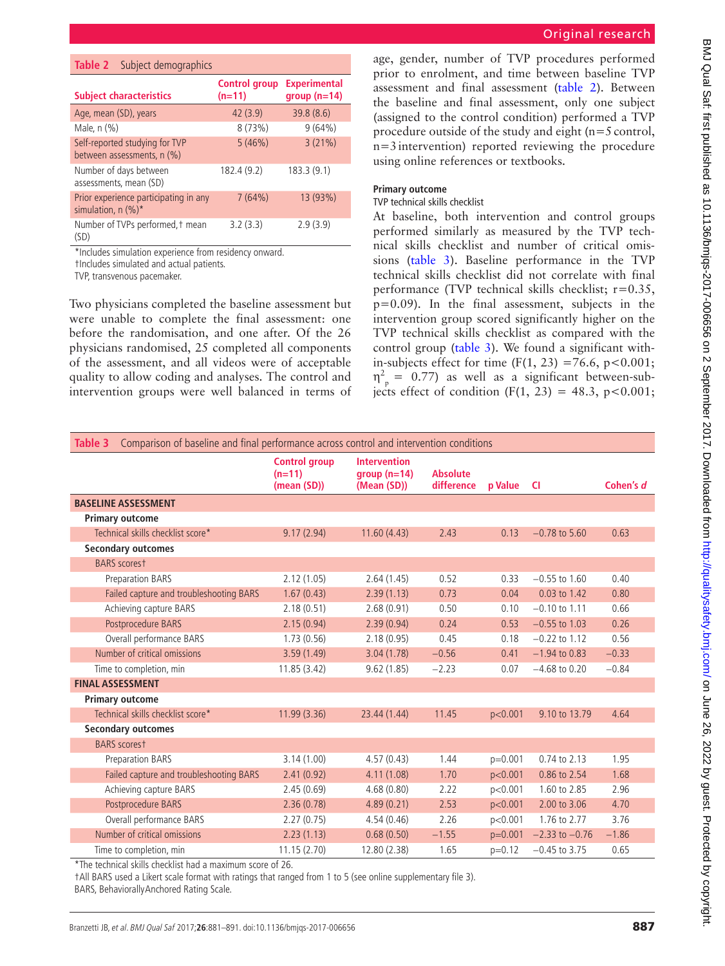<span id="page-6-0"></span>

| <b>Table 2</b> Subject demographics                           |                                  |                                      |  |  |
|---------------------------------------------------------------|----------------------------------|--------------------------------------|--|--|
| <b>Subject characteristics</b>                                | <b>Control group</b><br>$(n=11)$ | <b>Experimental</b><br>$group(n=14)$ |  |  |
| Age, mean (SD), years                                         | 42(3.9)                          | 39.8(8.6)                            |  |  |
| Male, n (%)                                                   | 8(73%)                           | 9(64%)                               |  |  |
| Self-reported studying for TVP<br>between assessments, n (%)  | 5(46%)                           | 3(21%)                               |  |  |
| Number of days between<br>assessments, mean (SD)              | 182.4 (9.2)                      | 183.3 (9.1)                          |  |  |
| Prior experience participating in any<br>simulation, $n$ (%)* | 7(64%)                           | 13 (93%)                             |  |  |
| Number of TVPs performed, t mean<br>(SD)                      | 3.2(3.3)                         | 2.9(3.9)                             |  |  |

<sup>\*</sup>Includes simulation experience from residency onward.

†Includes simulated and actual patients.

TVP, transvenous pacemaker.

Two physicians completed the baseline assessment but were unable to complete the final assessment: one before the randomisation, and one after. Of the 26 physicians randomised, 25 completed all components of the assessment, and all videos were of acceptable quality to allow coding and analyses. The control and intervention groups were well balanced in terms of

age, gender, number of TVP procedures performed prior to enrolment, and time between baseline TVP assessment and final assessment ([table](#page-6-0) 2). Between the baseline and final assessment, only one subject (assigned to the control condition) performed a TVP procedure outside of the study and eight  $(n=5 \text{ control},$ n=3intervention) reported reviewing the procedure using online references or textbooks.

## **Primary outcome**

#### TVP technical skills checklist

At baseline, both intervention and control groups performed similarly as measured by the TVP technical skills checklist and number of critical omissions ([table](#page-6-1) 3). Baseline performance in the TVP technical skills checklist did not correlate with final performance (TVP technical skills checklist; r=0.35, p=0.09). In the final assessment, subjects in the intervention group scored significantly higher on the TVP technical skills checklist as compared with the control group ([table](#page-6-1) 3). We found a significant within-subjects effect for time  $(F(1, 23) = 76.6, p < 0.001;$  $\eta_{\text{p}}^2 = 0.77$ ) as well as a significant between-subjects effect of condition (F(1, 23) = 48.3, p<0.001;

<span id="page-6-1"></span>

| Comparison of baseline and final performance across control and intervention conditions<br>Table 3 |                                                 |                                                     |                               |           |                    |           |  |  |  |
|----------------------------------------------------------------------------------------------------|-------------------------------------------------|-----------------------------------------------------|-------------------------------|-----------|--------------------|-----------|--|--|--|
|                                                                                                    | <b>Control group</b><br>$(n=11)$<br>(mean (SD)) | <b>Intervention</b><br>$qroup(n=14)$<br>(Mean (SD)) | <b>Absolute</b><br>difference | p Value   | <b>CI</b>          | Cohen's d |  |  |  |
| <b>BASELINE ASSESSMENT</b>                                                                         |                                                 |                                                     |                               |           |                    |           |  |  |  |
| <b>Primary outcome</b>                                                                             |                                                 |                                                     |                               |           |                    |           |  |  |  |
| Technical skills checklist score*                                                                  | 9.17(2.94)                                      | 11.60(4.43)                                         | 2.43                          | 0.13      | $-0.78$ to 5.60    | 0.63      |  |  |  |
| <b>Secondary outcomes</b>                                                                          |                                                 |                                                     |                               |           |                    |           |  |  |  |
| <b>BARS</b> scorest                                                                                |                                                 |                                                     |                               |           |                    |           |  |  |  |
| <b>Preparation BARS</b>                                                                            | 2.12(1.05)                                      | 2.64(1.45)                                          | 0.52                          | 0.33      | $-0.55$ to 1.60    | 0.40      |  |  |  |
| Failed capture and troubleshooting BARS                                                            | 1.67(0.43)                                      | 2.39(1.13)                                          | 0.73                          | 0.04      | 0.03 to 1.42       | 0.80      |  |  |  |
| Achieving capture BARS                                                                             | 2.18(0.51)                                      | 2.68(0.91)                                          | 0.50                          | 0.10      | $-0.10$ to 1.11    | 0.66      |  |  |  |
| Postprocedure BARS                                                                                 | 2.15(0.94)                                      | 2.39(0.94)                                          | 0.24                          | 0.53      | $-0.55$ to 1.03    | 0.26      |  |  |  |
| Overall performance BARS                                                                           | 1.73(0.56)                                      | 2.18(0.95)                                          | 0.45                          | 0.18      | $-0.22$ to 1.12    | 0.56      |  |  |  |
| Number of critical omissions                                                                       | 3.59(1.49)                                      | 3.04(1.78)                                          | $-0.56$                       | 0.41      | $-1.94$ to 0.83    | $-0.33$   |  |  |  |
| Time to completion, min                                                                            | 11.85 (3.42)                                    | 9.62(1.85)                                          | $-2.23$                       | 0.07      | $-4.68$ to 0.20    | $-0.84$   |  |  |  |
| <b>FINAL ASSESSMENT</b>                                                                            |                                                 |                                                     |                               |           |                    |           |  |  |  |
| <b>Primary outcome</b>                                                                             |                                                 |                                                     |                               |           |                    |           |  |  |  |
| Technical skills checklist score*                                                                  | 11.99 (3.36)                                    | 23.44 (1.44)                                        | 11.45                         | p<0.001   | 9.10 to 13.79      | 4.64      |  |  |  |
| <b>Secondary outcomes</b>                                                                          |                                                 |                                                     |                               |           |                    |           |  |  |  |
| <b>BARS</b> scorest                                                                                |                                                 |                                                     |                               |           |                    |           |  |  |  |
| <b>Preparation BARS</b>                                                                            | 3.14(1.00)                                      | 4.57(0.43)                                          | 1.44                          | $p=0.001$ | 0.74 to 2.13       | 1.95      |  |  |  |
| Failed capture and troubleshooting BARS                                                            | 2.41(0.92)                                      | 4.11(1.08)                                          | 1.70                          | p<0.001   | 0.86 to 2.54       | 1.68      |  |  |  |
| Achieving capture BARS                                                                             | 2.45(0.69)                                      | 4.68(0.80)                                          | 2.22                          | p<0.001   | 1.60 to 2.85       | 2.96      |  |  |  |
| Postprocedure BARS                                                                                 | 2.36(0.78)                                      | 4.89(0.21)                                          | 2.53                          | p<0.001   | 2.00 to 3.06       | 4.70      |  |  |  |
| Overall performance BARS                                                                           | 2.27(0.75)                                      | 4.54(0.46)                                          | 2.26                          | p<0.001   | 1.76 to 2.77       | 3.76      |  |  |  |
| Number of critical omissions                                                                       | 2.23(1.13)                                      | 0.68(0.50)                                          | $-1.55$                       | $p=0.001$ | $-2.33$ to $-0.76$ | $-1.86$   |  |  |  |
| Time to completion, min                                                                            | 11.15(2.70)                                     | 12.80 (2.38)                                        | 1.65                          | $p=0.12$  | $-0.45$ to 3.75    | 0.65      |  |  |  |

\*The technical skills checklist had a maximum score of 26.

†All BARS used a Likert scale format with ratings that ranged from 1 to 5 (see online [supplementary file 3\)](https://dx.doi.org/10.1136/bmjqs-2017-006656).

BARS, BehaviorallyAnchored Rating Scale.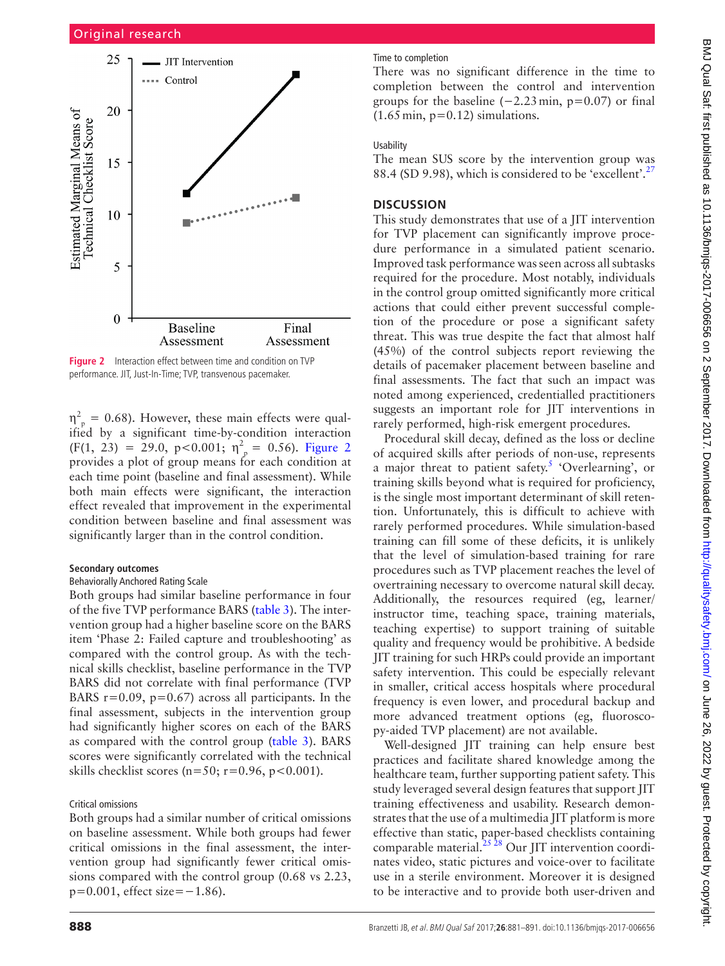

<span id="page-7-0"></span>**Figure 2** Interaction effect between time and condition on TVP performance. JIT, Just-In-Time; TVP, transvenous pacemaker.

 $\eta_{\text{p}}^2 = 0.68$ ). However, these main effects were qualified by a significant time-by-condition interaction  $(F(1, 23) = 29.0, p < 0.001; \eta_{p}^{2} = 0.56)$ . [Figure](#page-7-0) 2 provides a plot of group means for each condition at each time point (baseline and final assessment). While both main effects were significant, the interaction effect revealed that improvement in the experimental condition between baseline and final assessment was significantly larger than in the control condition.

### **Secondary outcomes**

## Behaviorally Anchored Rating Scale

Both groups had similar baseline performance in four of the five TVP performance BARS ([table](#page-6-1) 3). The intervention group had a higher baseline score on the BARS item 'Phase 2: Failed capture and troubleshooting' as compared with the control group. As with the technical skills checklist, baseline performance in the TVP BARS did not correlate with final performance (TVP BARS  $r=0.09$ ,  $p=0.67$ ) across all participants. In the final assessment, subjects in the intervention group had significantly higher scores on each of the BARS as compared with the control group ([table](#page-6-1) 3). BARS scores were significantly correlated with the technical skills checklist scores ( $n=50$ ;  $r=0.96$ ,  $p<0.001$ ).

#### Critical omissions

Both groups had a similar number of critical omissions on baseline assessment. While both groups had fewer critical omissions in the final assessment, the intervention group had significantly fewer critical omissions compared with the control group (0.68 vs 2.23,  $p=0.001$ , effect size= $-1.86$ ).

#### Time to completion

There was no significant difference in the time to completion between the control and intervention groups for the baseline  $(-2.23 \text{ min}, p=0.07)$  or final  $(1.65 \text{ min}, \text{p}=0.12)$  simulations.

## Usability

The mean SUS score by the intervention group was 88.4 (SD 9.98), which is considered to be 'excellent'. $27$ 

## **Discussion**

This study demonstrates that use of a JIT intervention for TVP placement can significantly improve procedure performance in a simulated patient scenario. Improved task performance was seen across all subtasks required for the procedure. Most notably, individuals in the control group omitted significantly more critical actions that could either prevent successful completion of the procedure or pose a significant safety threat. This was true despite the fact that almost half (45%) of the control subjects report reviewing the details of pacemaker placement between baseline and final assessments. The fact that such an impact was noted among experienced, credentialled practitioners suggests an important role for JIT interventions in rarely performed, high-risk emergent procedures.

Procedural skill decay, defined as the loss or decline of acquired skills after periods of non-use, represents a major threat to patient safety.<sup>[5](#page-9-20)</sup> 'Overlearning', or training skills beyond what is required for proficiency, is the single most important determinant of skill retention. Unfortunately, this is difficult to achieve with rarely performed procedures. While simulation-based training can fill some of these deficits, it is unlikely that the level of simulation-based training for rare procedures such as TVP placement reaches the level of overtraining necessary to overcome natural skill decay. Additionally, the resources required (eg, learner/ instructor time, teaching space, training materials, teaching expertise) to support training of suitable quality and frequency would be prohibitive. A bedside JIT training for such HRPs could provide an important safety intervention. This could be especially relevant in smaller, critical access hospitals where procedural frequency is even lower, and procedural backup and more advanced treatment options (eg, fluoroscopy-aided TVP placement) are not available.

Well-designed JIT training can help ensure best practices and facilitate shared knowledge among the healthcare team, further supporting patient safety. This study leveraged several design features that support JIT training effectiveness and usability. Research demonstrates that the use of a multimedia JIT platform is more effective than static, paper-based checklists containing comparable material.<sup>[25 28](#page-10-1)</sup> Our JIT intervention coordinates video, static pictures and voice-over to facilitate use in a sterile environment. Moreover it is designed to be interactive and to provide both user-driven and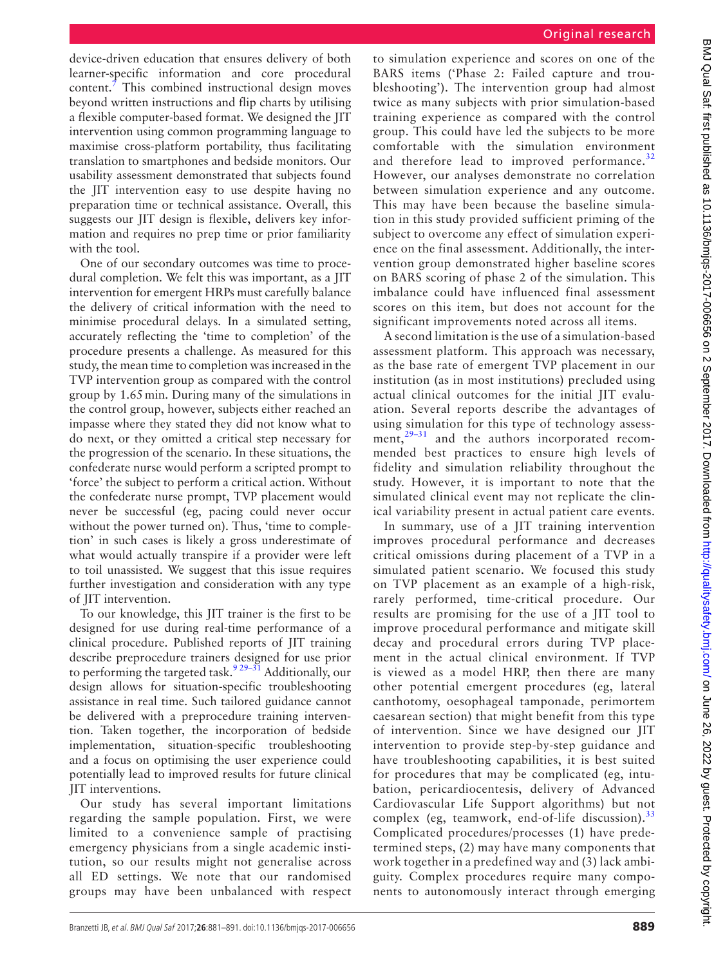device-driven education that ensures delivery of both learner-specific information and core procedural content. $\bar{7}$  $\bar{7}$  $\bar{7}$  This combined instructional design moves beyond written instructions and flip charts by utilising a flexible computer-based format. We designed the JIT intervention using common programming language to maximise cross-platform portability, thus facilitating translation to smartphones and bedside monitors. Our usability assessment demonstrated that subjects found the JIT intervention easy to use despite having no preparation time or technical assistance. Overall, this suggests our JIT design is flexible, delivers key information and requires no prep time or prior familiarity with the tool.

One of our secondary outcomes was time to procedural completion. We felt this was important, as a JIT intervention for emergent HRPs must carefully balance the delivery of critical information with the need to minimise procedural delays. In a simulated setting, accurately reflecting the 'time to completion' of the procedure presents a challenge. As measured for this study, the mean time to completion was increased in the TVP intervention group as compared with the control group by 1.65min. During many of the simulations in the control group, however, subjects either reached an impasse where they stated they did not know what to do next, or they omitted a critical step necessary for the progression of the scenario. In these situations, the confederate nurse would perform a scripted prompt to 'force' the subject to perform a critical action. Without the confederate nurse prompt, TVP placement would never be successful (eg, pacing could never occur without the power turned on). Thus, 'time to completion' in such cases is likely a gross underestimate of what would actually transpire if a provider were left to toil unassisted. We suggest that this issue requires further investigation and consideration with any type of JIT intervention.

To our knowledge, this JIT trainer is the first to be designed for use during real-time performance of a clinical procedure. Published reports of JIT training describe preprocedure trainers designed for use prior to performing the targeted task.<sup>9 29–31</sup> Additionally, our design allows for situation-specific troubleshooting assistance in real time. Such tailored guidance cannot be delivered with a preprocedure training intervention. Taken together, the incorporation of bedside implementation, situation-specific troubleshooting and a focus on optimising the user experience could potentially lead to improved results for future clinical JIT interventions.

Our study has several important limitations regarding the sample population. First, we were limited to a convenience sample of practising emergency physicians from a single academic institution, so our results might not generalise across all ED settings. We note that our randomised groups may have been unbalanced with respect to simulation experience and scores on one of the BARS items ('Phase 2: Failed capture and troubleshooting'). The intervention group had almost twice as many subjects with prior simulation-based training experience as compared with the control group. This could have led the subjects to be more comfortable with the simulation environment and therefore lead to improved performance. $32$ However, our analyses demonstrate no correlation between simulation experience and any outcome. This may have been because the baseline simulation in this study provided sufficient priming of the subject to overcome any effect of simulation experience on the final assessment. Additionally, the intervention group demonstrated higher baseline scores on BARS scoring of phase 2 of the simulation. This imbalance could have influenced final assessment scores on this item, but does not account for the significant improvements noted across all items.

A second limitation is the use of a simulation-based assessment platform. This approach was necessary, as the base rate of emergent TVP placement in our institution (as in most institutions) precluded using actual clinical outcomes for the initial JIT evaluation. Several reports describe the advantages of using simulation for this type of technology assessment,<sup>29-31</sup> and the authors incorporated recommended best practices to ensure high levels of fidelity and simulation reliability throughout the study. However, it is important to note that the simulated clinical event may not replicate the clinical variability present in actual patient care events.

In summary, use of a JIT training intervention improves procedural performance and decreases critical omissions during placement of a TVP in a simulated patient scenario. We focused this study on TVP placement as an example of a high-risk, rarely performed, time-critical procedure. Our results are promising for the use of a JIT tool to improve procedural performance and mitigate skill decay and procedural errors during TVP placement in the actual clinical environment. If TVP is viewed as a model HRP, then there are many other potential emergent procedures (eg, lateral canthotomy, oesophageal tamponade, perimortem caesarean section) that might benefit from this type of intervention. Since we have designed our JIT intervention to provide step-by-step guidance and have troubleshooting capabilities, it is best suited for procedures that may be complicated (eg, intubation, pericardiocentesis, delivery of Advanced Cardiovascular Life Support algorithms) but not complex (eg, teamwork, end-of-life discussion). $33$ Complicated procedures/processes (1) have predetermined steps, (2) may have many components that work together in a predefined way and (3) lack ambiguity. Complex procedures require many components to autonomously interact through emerging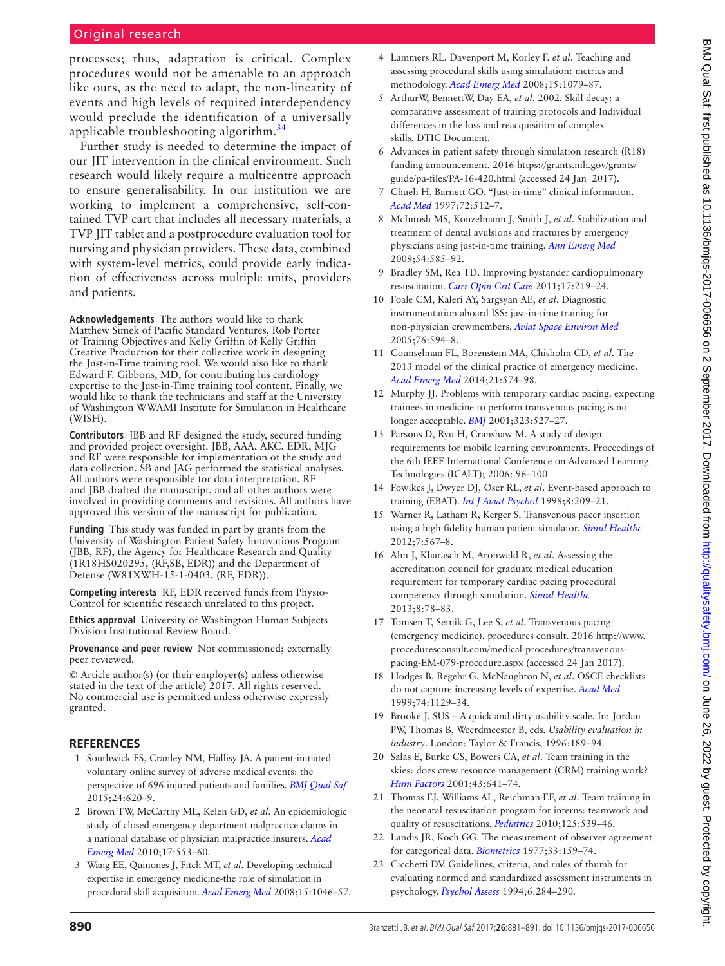# Original research

processes; thus, adaptation is critical. Complex procedures would not be amenable to an approach like ours, as the need to adapt, the non-linearity of events and high levels of required interdependency would preclude the identification of a universally applicable troubleshooting algorithm.<sup>[34](#page-10-7)</sup>

Further study is needed to determine the impact of our JIT intervention in the clinical environment. Such research would likely require a multicentre approach to ensure generalisability. In our institution we are working to implement a comprehensive, self-contained TVP cart that includes all necessary materials, a TVP JIT tablet and a postprocedure evaluation tool for nursing and physician providers. These data, combined with system-level metrics, could provide early indication of effectiveness across multiple units, providers and patients.

**Acknowledgements** The authors would like to thank Matthew Simek of Pacific Standard Ventures, Rob Porter of Training Objectives and Kelly Griffin of Kelly Griffin Creative Production for their collective work in designing the Just-in-Time training tool. We would also like to thank Edward F. Gibbons, MD, for contributing his cardiology expertise to the Just-in-Time training tool content. Finally, we would like to thank the technicians and staff at the University of Washington WWAMI Institute for Simulation in Healthcare (WISH).

**Contributors** JBB and RF designed the study, secured funding and provided project oversight. JBB, AAA, AKC, EDR, MJG and RF were responsible for implementation of the study and data collection. SB and JAG performed the statistical analyses. All authors were responsible for data interpretation. RF and JBB drafted the manuscript, and all other authors were involved in providing comments and revisions. All authors have approved this version of the manuscript for publication.

**Funding** This study was funded in part by grants from the University of Washington Patient Safety Innovations Program (JBB, RF), the Agency for Healthcare Research and Quality (1R18HS020295, (RF,SB, EDR)) and the Department of Defense (W81XWH-15-1-0403, (RF, EDR)).

**Competing interests** RF, EDR received funds from Physio-Control for scientific research unrelated to this project.

**Ethics approval** University of Washington Human Subjects Division Institutional Review Board.

**Provenance and peer review** Not commissioned; externally peer reviewed.

© Article author(s) (or their employer(s) unless otherwise stated in the text of the article) 2017. All rights reserved. No commercial use is permitted unless otherwise expressly granted.

## **References**

- <span id="page-9-0"></span>1 Southwick FS, Cranley NM, Hallisy JA. A patient-initiated voluntary online survey of adverse medical events: the perspective of 696 injured patients and families. *[BMJ Qual Saf](http://dx.doi.org/10.1136/bmjqs-2015-003980)* 2015;24:620–9.
- <span id="page-9-1"></span>2 Brown TW, McCarthy ML, Kelen GD, *et al*. An epidemiologic study of closed emergency department malpractice claims in a national database of physician malpractice insurers. *[Acad](http://dx.doi.org/10.1111/j.1553-2712.2010.00729.x)  [Emerg Med](http://dx.doi.org/10.1111/j.1553-2712.2010.00729.x)* 2010;17:553–60.
- <span id="page-9-2"></span>3 Wang EE, Quinones J, Fitch MT, *et al*. Developing technical expertise in emergency medicine-the role of simulation in procedural skill acquisition. *[Acad Emerg Med](http://dx.doi.org/10.1111/j.1553-2712.2008.00218.x)* 2008;15:1046–57.
- <span id="page-9-3"></span>4 Lammers RL, Davenport M, Korley F, *et al*. Teaching and assessing procedural skills using simulation: metrics and methodology. *[Acad Emerg Med](http://dx.doi.org/10.1111/j.1553-2712.2008.00233.x)* 2008;15:1079–87.
- <span id="page-9-20"></span>5 ArthurW, BennettW, Day EA, *et al*. 2002. Skill decay: a comparative assessment of training protocols and Individual differences in the loss and reacquisition of complex skills. DTIC Document.
- <span id="page-9-4"></span>6 Advances in patient safety through simulation research (R18) funding announcement. 2016 [https://grants.nih.gov/grants/](https://grants.nih.gov/grants/guide/pa-files/PA-16-420.html) [guide/pa-files/PA-16-420.html](https://grants.nih.gov/grants/guide/pa-files/PA-16-420.html) (accessed 24 Jan 2017).
- <span id="page-9-5"></span>7 Chueh H, Barnett GO. "Just-in-time" clinical information. *[Acad Med](http://dx.doi.org/10.1097/00001888-199706000-00016)* 1997;72:512–7.
- <span id="page-9-6"></span>8 McIntosh MS, Konzelmann J, Smith J, *et al*. Stabilization and treatment of dental avulsions and fractures by emergency physicians using just-in-time training. *[Ann Emerg Med](http://dx.doi.org/10.1016/j.annemergmed.2009.06.510)* 2009;54:585–92.
- <span id="page-9-7"></span>9 Bradley SM, Rea TD. Improving bystander cardiopulmonary resuscitation. *[Curr Opin Crit Care](http://dx.doi.org/10.1097/MCC.0b013e32834697d8)* 2011;17:219–24.
- <span id="page-9-8"></span>10 Foale CM, Kaleri AY, Sargsyan AE, *et al*. Diagnostic instrumentation aboard ISS: just-in-time training for non-physician crewmembers. *Aviat Space Environ Med* 2005;76:594–8.
- <span id="page-9-9"></span>11 Counselman FL, Borenstein MA, Chisholm CD, *et al*. The 2013 model of the clinical practice of emergency medicine. *[Acad Emerg Med](http://dx.doi.org/10.1111/acem.12373)* 2014;21:574–98.
- <span id="page-9-10"></span>12 Murphy JJ. Problems with temporary cardiac pacing. expecting trainees in medicine to perform transvenous pacing is no longer acceptable. *BMJ* 2001;323:527–27.
- <span id="page-9-11"></span>13 Parsons D, Ryu H, Cranshaw M. A study of design requirements for mobile learning environments. Proceedings of the 6th IEEE International Conference on Advanced Learning Technologies (ICALT); 2006: 96–100
- <span id="page-9-12"></span>14 Fowlkes J, Dwyer DJ, Oser RL, *et al*. Event-based approach to training (EBAT). *[Int J Aviat Psychol](http://dx.doi.org/10.1207/s15327108ijap0803_3)* 1998;8:209–21.
- <span id="page-9-13"></span>15 Warner R, Latham R, Kerger S. Transvenous pacer insertion using a high fidelity human patient simulator. *Simul Healthc* 2012;7:567–8.
- <span id="page-9-14"></span>16 Ahn J, Kharasch M, Aronwald R, *et al*. Assessing the accreditation council for graduate medical education requirement for temporary cardiac pacing procedural competency through simulation. *[Simul Healthc](http://dx.doi.org/10.1097/SIH.0b013e3182822336)* 2013;8:78–83.
- 17 Tomsen T, Setnik G, Lee S, *et al*. Transvenous pacing (emergency medicine). procedures consult. 2016 [http://www.](http://www.proceduresconsult.com/medical-procedures/transvenous-pacing-EM-079-procedure.aspx) [proceduresconsult.com/medical-procedures/transvenous](http://www.proceduresconsult.com/medical-procedures/transvenous-pacing-EM-079-procedure.aspx)[pacing-EM-079-procedure.aspx](http://www.proceduresconsult.com/medical-procedures/transvenous-pacing-EM-079-procedure.aspx) (accessed 24 Jan 2017).
- <span id="page-9-15"></span>18 Hodges B, Regehr G, McNaughton N, *et al*. OSCE checklists do not capture increasing levels of expertise. *[Acad Med](http://dx.doi.org/10.1097/00001888-199910000-00017)* 1999;74:1129–34.
- <span id="page-9-16"></span>19 Brooke J. SUS – A quick and dirty usability scale. In: Jordan PW, Thomas B, Weerdmeester B, eds. *Usability evaluation in industry*. London: Taylor & Francis, 1996:189–94.
- <span id="page-9-17"></span>20 Salas E, Burke CS, Bowers CA, *et al*. Team training in the skies: does crew resource management (CRM) training work? *[Hum Factors](http://dx.doi.org/10.1518/001872001775870386)* 2001;43:641–74.
- 21 Thomas EJ, Williams AL, Reichman EF, *et al*. Team training in the neonatal resuscitation program for interns: teamwork and quality of resuscitations. *[Pediatrics](http://dx.doi.org/10.1542/peds.2009-1635)* 2010;125:539–46.
- <span id="page-9-18"></span>22 Landis JR, Koch GG. The measurement of observer agreement for categorical data. *[Biometrics](http://dx.doi.org/10.2307/2529310)* 1977;33:159–74.
- <span id="page-9-19"></span>23 Cicchetti DV. Guidelines, criteria, and rules of thumb for evaluating normed and standardized assessment instruments in psychology. *[Psychol Assess](http://dx.doi.org/10.1037/1040-3590.6.4.284)* 1994;6:284–290.